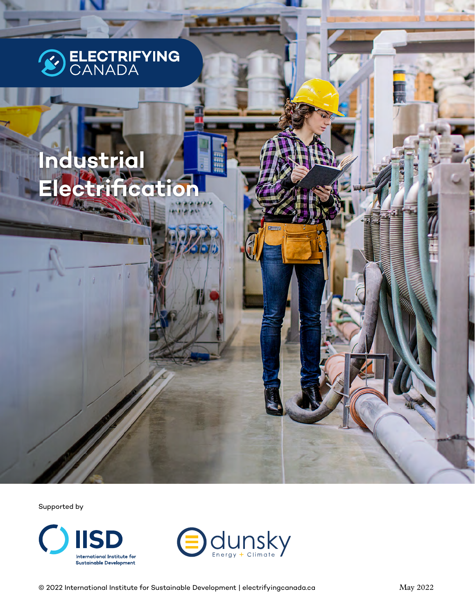

# **Industrial Electrification**

Supported by



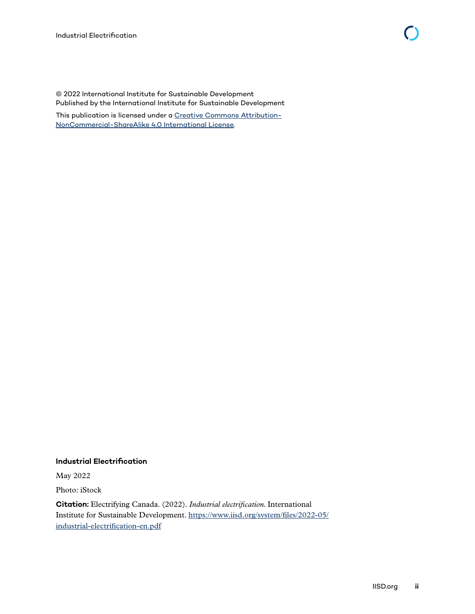© 2022 International Institute for Sustainable Development Published by the International Institute for Sustainable Development

This publication is licensed under a [Creative Commons Attribution-](https://creativecommons.org/licenses/by-nc-sa/4.0/)[NonCommercial-ShareAlike 4.0 International License](https://creativecommons.org/licenses/by-nc-sa/4.0/).

#### **Industrial Electrification**

May 2022

Photo: iStock

**Citation:** Electrifying Canada. (2022). *Industrial electrification.* International Institute for Sustainable Development. [https://www.iisd.org/system/files/2022-05/](https://www.iisd.org/system/files/2022-05/industrial-electrification-en.pdf) [industrial-electrification-en.pdf](https://www.iisd.org/system/files/2022-05/industrial-electrification-en.pdf)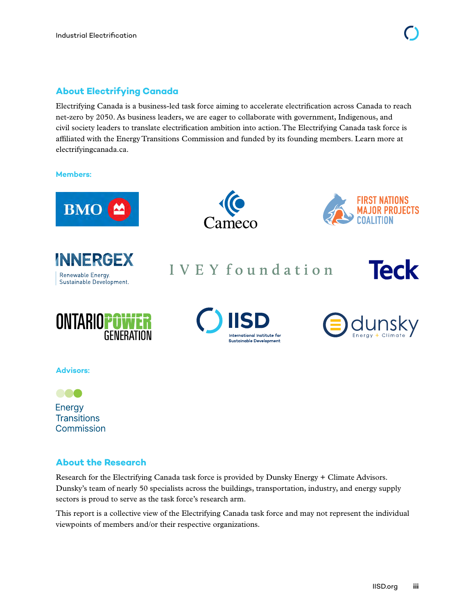#### **About Electrifying Canada**

Electrifying Canada is a business-led task force aiming to accelerate electrification across Canada to reach net-zero by 2050. As business leaders, we are eager to collaborate with government, Indigenous, and civil society leaders to translate electrification ambition into action. The Electrifying Canada task force is affiliated with the Energy Transitions Commission and funded by its founding members. Learn more at electrifyingcanada.ca.

#### **Members:**











IVEY foundation







**Advisors:**

888 Energy **Transitions** Commission

#### **About the Research**

Research for the Electrifying Canada task force is provided by Dunsky Energy + Climate Advisors. Dunsky's team of nearly 50 specialists across the buildings, transportation, industry, and energy supply sectors is proud to serve as the task force's research arm.

This report is a collective view of the Electrifying Canada task force and may not represent the individual viewpoints of members and/or their respective organizations.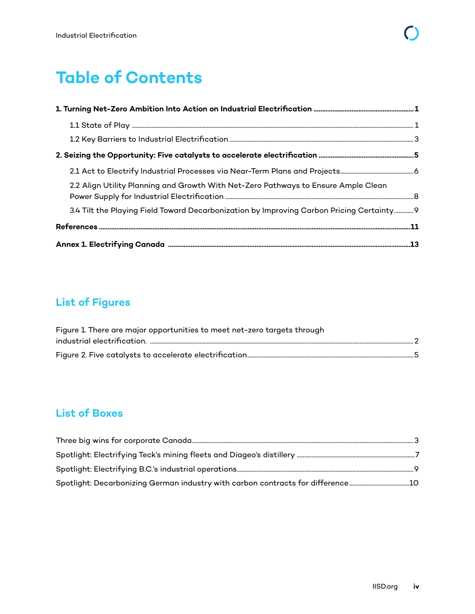## **Table of Contents**

| 2.2 Align Utility Planning and Growth With Net-Zero Pathways to Ensure Ample Clean        |  |
|-------------------------------------------------------------------------------------------|--|
| 3.4 Tilt the Playing Field Toward Decarbonization by Improving Carbon Pricing Certainty 9 |  |
|                                                                                           |  |
|                                                                                           |  |

## **List of Figures**

| Figure 1. There are major opportunities to meet net-zero targets through |  |
|--------------------------------------------------------------------------|--|
|                                                                          |  |
|                                                                          |  |

### **List of Boxes**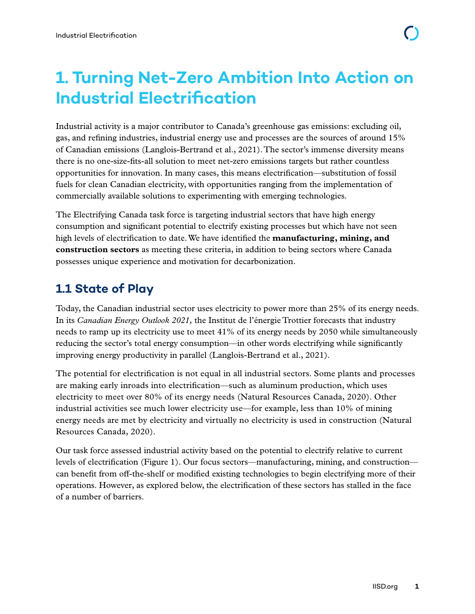## <span id="page-4-0"></span>**1. Turning Net-Zero Ambition Into Action on Industrial Electrification**

Industrial activity is a major contributor to Canada's greenhouse gas emissions: excluding oil, gas, and refining industries, industrial energy use and processes are the sources of around 15% of Canadian emissions (Langlois-Bertrand et al., 2021). The sector's immense diversity means there is no one-size-fits-all solution to meet net-zero emissions targets but rather countless opportunities for innovation. In many cases, this means electrification—substitution of fossil fuels for clean Canadian electricity, with opportunities ranging from the implementation of commercially available solutions to experimenting with emerging technologies.

The Electrifying Canada task force is targeting industrial sectors that have high energy consumption and significant potential to electrify existing processes but which have not seen high levels of electrification to date. We have identified the **manufacturing, mining, and construction sectors** as meeting these criteria, in addition to being sectors where Canada possesses unique experience and motivation for decarbonization.

### **1.1 State of Play**

Today, the Canadian industrial sector uses electricity to power more than 25% of its energy needs. In its *Canadian Energy Outlook 2021,* the Institut de l'énergie Trottier forecasts that industry needs to ramp up its electricity use to meet 41% of its energy needs by 2050 while simultaneously reducing the sector's total energy consumption—in other words electrifying while significantly improving energy productivity in parallel (Langlois-Bertrand et al., 2021).

The potential for electrification is not equal in all industrial sectors. Some plants and processes are making early inroads into electrification—such as aluminum production, which uses electricity to meet over 80% of its energy needs (Natural Resources Canada, 2020). Other industrial activities see much lower electricity use—for example, less than 10% of mining energy needs are met by electricity and virtually no electricity is used in construction (Natural Resources Canada, 2020).

Our task force assessed industrial activity based on the potential to electrify relative to current levels of electrification (Figure 1). Our focus sectors—manufacturing, mining, and construction can benefit from off-the-shelf or modified existing technologies to begin electrifying more of their operations. However, as explored below, the electrification of these sectors has stalled in the face of a number of barriers.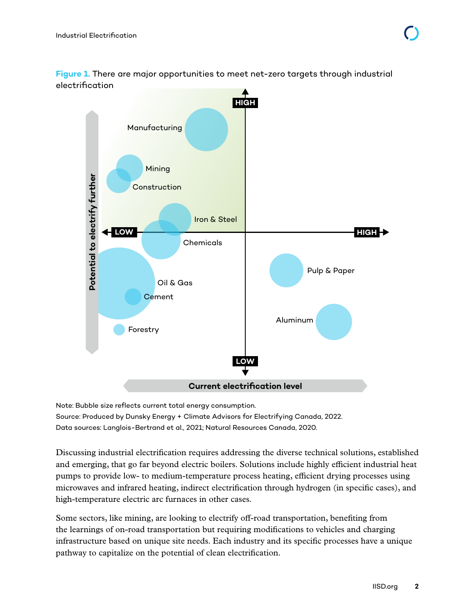<span id="page-5-0"></span>**Figure 1.** There are major opportunities to meet net-zero targets through industrial electrification



Note: Bubble size reflects current total energy consumption. Source: Produced by Dunsky Energy + Climate Advisors for Electrifying Canada, 2022. Data sources: Langlois-Bertrand et al., 2021; Natural Resources Canada, 2020.

Discussing industrial electrification requires addressing the diverse technical solutions, established and emerging, that go far beyond electric boilers. Solutions include highly efficient industrial heat pumps to provide low- to medium-temperature process heating, efficient drying processes using microwaves and infrared heating, indirect electrification through hydrogen (in specific cases), and high-temperature electric arc furnaces in other cases.

Some sectors, like mining, are looking to electrify off-road transportation, benefiting from the learnings of on-road transportation but requiring modifications to vehicles and charging infrastructure based on unique site needs. Each industry and its specific processes have a unique pathway to capitalize on the potential of clean electrification.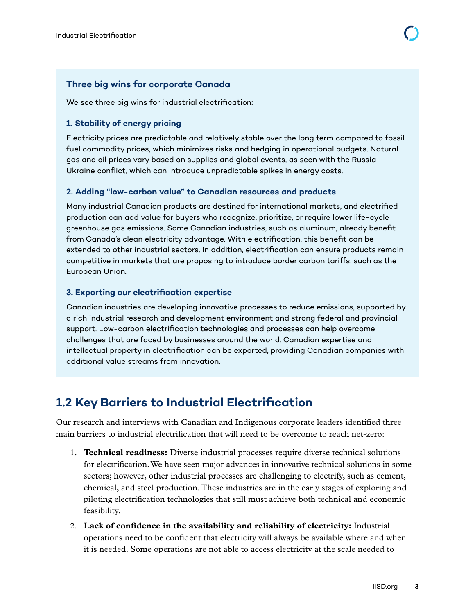#### <span id="page-6-0"></span>**Three big wins for corporate Canada**

We see three big wins for industrial electrification:

#### **1. Stability of energy pricing**

Electricity prices are predictable and relatively stable over the long term compared to fossil fuel commodity prices, which minimizes risks and hedging in operational budgets. Natural gas and oil prices vary based on supplies and global events, as seen with the Russia– Ukraine conflict, which can introduce unpredictable spikes in energy costs.

#### **2. Adding "low-carbon value" to Canadian resources and products**

Many industrial Canadian products are destined for international markets, and electrified production can add value for buyers who recognize, prioritize, or require lower life-cycle greenhouse gas emissions. Some Canadian industries, such as aluminum, already benefit from Canada's clean electricity advantage. With electrification, this benefit can be extended to other industrial sectors. In addition, electrification can ensure products remain competitive in markets that are proposing to introduce border carbon tariffs, such as the European Union.

#### **3. Exporting our electrification expertise**

Canadian industries are developing innovative processes to reduce emissions, supported by a rich industrial research and development environment and strong federal and provincial support. Low-carbon electrification technologies and processes can help overcome challenges that are faced by businesses around the world. Canadian expertise and intellectual property in electrification can be exported, providing Canadian companies with additional value streams from innovation.

### **1.2 Key Barriers to Industrial Electrification**

Our research and interviews with Canadian and Indigenous corporate leaders identified three main barriers to industrial electrification that will need to be overcome to reach net-zero:

- 1. **Technical readiness:** Diverse industrial processes require diverse technical solutions for electrification. We have seen major advances in innovative technical solutions in some sectors; however, other industrial processes are challenging to electrify, such as cement, chemical, and steel production. These industries are in the early stages of exploring and piloting electrification technologies that still must achieve both technical and economic feasibility.
- 2. **Lack of confidence in the availability and reliability of electricity:** Industrial operations need to be confident that electricity will always be available where and when it is needed. Some operations are not able to access electricity at the scale needed to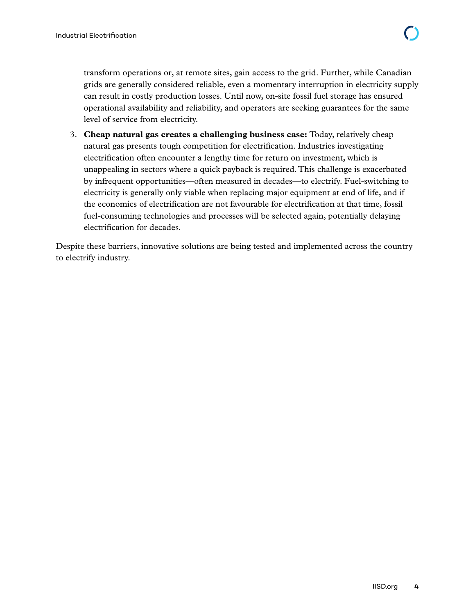transform operations or, at remote sites, gain access to the grid. Further, while Canadian grids are generally considered reliable, even a momentary interruption in electricity supply can result in costly production losses. Until now, on-site fossil fuel storage has ensured operational availability and reliability, and operators are seeking guarantees for the same level of service from electricity.

3. **Cheap natural gas creates a challenging business case:** Today, relatively cheap natural gas presents tough competition for electrification. Industries investigating electrification often encounter a lengthy time for return on investment, which is unappealing in sectors where a quick payback is required. This challenge is exacerbated by infrequent opportunities—often measured in decades—to electrify. Fuel-switching to electricity is generally only viable when replacing major equipment at end of life, and if the economics of electrification are not favourable for electrification at that time, fossil fuel-consuming technologies and processes will be selected again, potentially delaying electrification for decades.

Despite these barriers, innovative solutions are being tested and implemented across the country to electrify industry.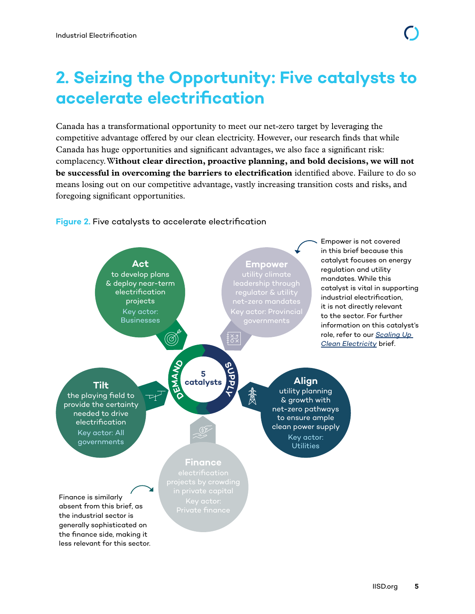## <span id="page-8-0"></span>**2. Seizing the Opportunity: Five catalysts to accelerate electrification**

Canada has a transformational opportunity to meet our net-zero target by leveraging the competitive advantage offered by our clean electricity. However, our research finds that while Canada has huge opportunities and significant advantages, we also face a significant risk: complacency. W**ithout clear direction, proactive planning, and bold decisions, we will not be successful in overcoming the barriers to electrification** identified above. Failure to do so means losing out on our competitive advantage, vastly increasing transition costs and risks, and foregoing significant opportunities.

#### **Figure 2.** Five catalysts to accelerate electrification

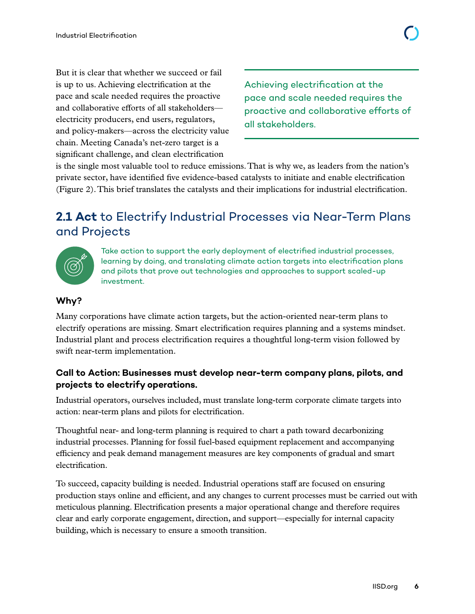<span id="page-9-0"></span>But it is clear that whether we succeed or fail is up to us. Achieving electrification at the pace and scale needed requires the proactive and collaborative efforts of all stakeholders electricity producers, end users, regulators, and policy-makers—across the electricity value chain. Meeting Canada's net-zero target is a significant challenge, and clean electrification

Achieving electrification at the pace and scale needed requires the proactive and collaborative efforts of all stakeholders.

is the single most valuable tool to reduce emissions. That is why we, as leaders from the nation's private sector, have identified five evidence-based catalysts to initiate and enable electrification (Figure 2). This brief translates the catalysts and their implications for industrial electrification.

### **2.1 Act** to Electrify Industrial Processes via Near-Term Plans and Projects



Take action to support the early deployment of electrified industrial processes, learning by doing, and translating climate action targets into electrification plans and pilots that prove out technologies and approaches to support scaled-up investment.

#### **Why?**

Many corporations have climate action targets, but the action-oriented near-term plans to electrify operations are missing. Smart electrification requires planning and a systems mindset. Industrial plant and process electrification requires a thoughtful long-term vision followed by swift near-term implementation.

#### **Call to Action: Businesses must develop near-term company plans, pilots, and projects to electrify operations.**

Industrial operators, ourselves included, must translate long-term corporate climate targets into action: near-term plans and pilots for electrification.

Thoughtful near- and long-term planning is required to chart a path toward decarbonizing industrial processes. Planning for fossil fuel-based equipment replacement and accompanying efficiency and peak demand management measures are key components of gradual and smart electrification.

To succeed, capacity building is needed. Industrial operations staff are focused on ensuring production stays online and efficient, and any changes to current processes must be carried out with meticulous planning. Electrification presents a major operational change and therefore requires clear and early corporate engagement, direction, and support—especially for internal capacity building, which is necessary to ensure a smooth transition.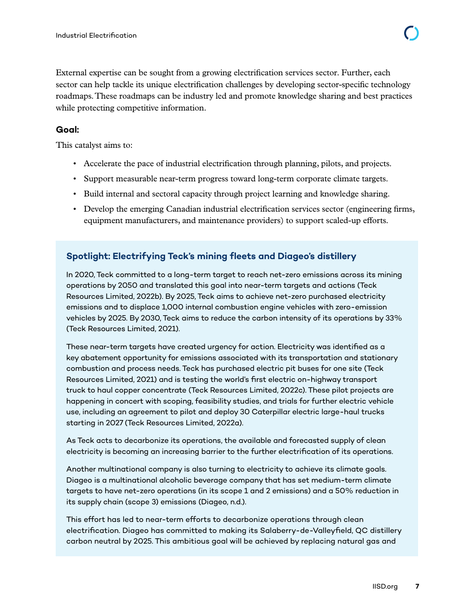<span id="page-10-0"></span>External expertise can be sought from a growing electrification services sector. Further, each sector can help tackle its unique electrification challenges by developing sector-specific technology roadmaps. These roadmaps can be industry led and promote knowledge sharing and best practices while protecting competitive information.

#### **Goal:**

This catalyst aims to:

- Accelerate the pace of industrial electrification through planning, pilots, and projects.
- Support measurable near-term progress toward long-term corporate climate targets.
- Build internal and sectoral capacity through project learning and knowledge sharing.
- Develop the emerging Canadian industrial electrification services sector (engineering firms, equipment manufacturers, and maintenance providers) to support scaled-up efforts.

#### **Spotlight: Electrifying Teck's mining fleets and Diageo's distillery**

In 2020, Teck committed to a long-term target to reach net-zero emissions across its mining operations by 2050 and translated this goal into near-term targets and actions (Teck Resources Limited, 2022b). By 2025, Teck aims to achieve net-zero purchased electricity emissions and to displace 1,000 internal combustion engine vehicles with zero-emission vehicles by 2025. By 2030, Teck aims to reduce the carbon intensity of its operations by 33% (Teck Resources Limited, 2021).

These near-term targets have created urgency for action. Electricity was identified as a key abatement opportunity for emissions associated with its transportation and stationary combustion and process needs. Teck has purchased electric pit buses for one site (Teck Resources Limited, 2021) and is testing the world's first electric on-highway transport truck to haul copper concentrate (Teck Resources Limited, 2022c). These pilot projects are happening in concert with scoping, feasibility studies, and trials for further electric vehicle use, including an agreement to pilot and deploy 30 Caterpillar electric large-haul trucks starting in 2027 (Teck Resources Limited, 2022a).

As Teck acts to decarbonize its operations, the available and forecasted supply of clean electricity is becoming an increasing barrier to the further electrification of its operations.

Another multinational company is also turning to electricity to achieve its climate goals. Diageo is a multinational alcoholic beverage company that has set medium-term climate targets to have net-zero operations (in its scope 1 and 2 emissions) and a 50% reduction in its supply chain (scope 3) emissions (Diageo, n.d.).

This effort has led to near-term efforts to decarbonize operations through clean electrification. Diageo has committed to making its Salaberry-de-Valleyfield, QC distillery carbon neutral by 2025. This ambitious goal will be achieved by replacing natural gas and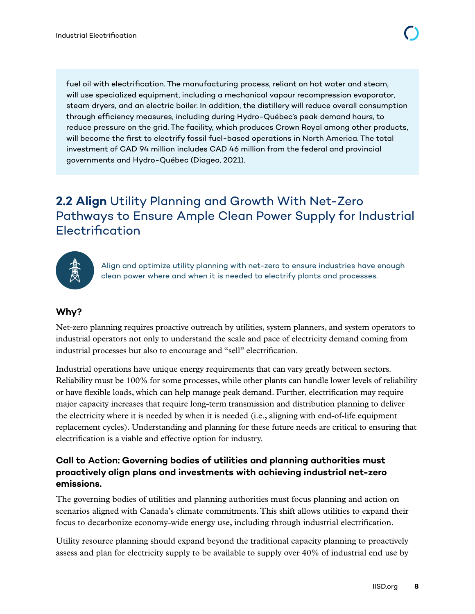<span id="page-11-0"></span>fuel oil with electrification. The manufacturing process, reliant on hot water and steam, will use specialized equipment, including a mechanical vapour recompression evaporator, steam dryers, and an electric boiler. In addition, the distillery will reduce overall consumption through efficiency measures, including during Hydro-Québec's peak demand hours, to reduce pressure on the grid. The facility, which produces Crown Royal among other products, will become the first to electrify fossil fuel-based operations in North America. The total investment of CAD 94 million includes CAD 46 million from the federal and provincial governments and Hydro-Québec (Diageo, 2021).

## **2.2 Align** Utility Planning and Growth With Net-Zero Pathways to Ensure Ample Clean Power Supply for Industrial Electrification



Align and optimize utility planning with net-zero to ensure industries have enough clean power where and when it is needed to electrify plants and processes.

#### **Why?**

Net-zero planning requires proactive outreach by utilities, system planners, and system operators to industrial operators not only to understand the scale and pace of electricity demand coming from industrial processes but also to encourage and "sell" electrification.

Industrial operations have unique energy requirements that can vary greatly between sectors. Reliability must be 100% for some processes, while other plants can handle lower levels of reliability or have flexible loads, which can help manage peak demand. Further, electrification may require major capacity increases that require long-term transmission and distribution planning to deliver the electricity where it is needed by when it is needed (i.e., aligning with end-of-life equipment replacement cycles). Understanding and planning for these future needs are critical to ensuring that electrification is a viable and effective option for industry.

#### **Call to Action: Governing bodies of utilities and planning authorities must proactively align plans and investments with achieving industrial net-zero emissions.**

The governing bodies of utilities and planning authorities must focus planning and action on scenarios aligned with Canada's climate commitments. This shift allows utilities to expand their focus to decarbonize economy-wide energy use, including through industrial electrification.

Utility resource planning should expand beyond the traditional capacity planning to proactively assess and plan for electricity supply to be available to supply over 40% of industrial end use by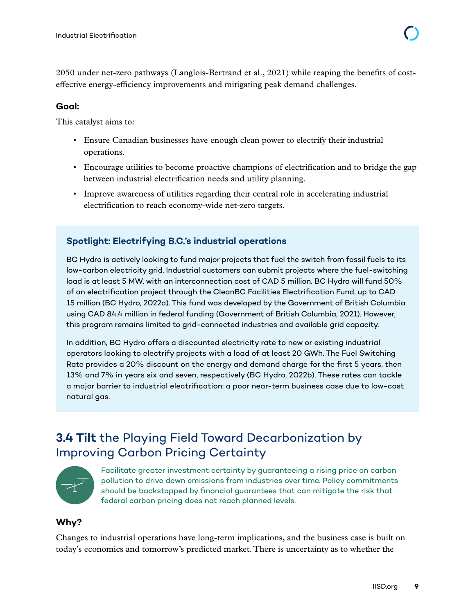<span id="page-12-0"></span>2050 under net-zero pathways (Langlois-Bertrand et al., 2021) while reaping the benefits of costeffective energy-efficiency improvements and mitigating peak demand challenges.

#### **Goal:**

This catalyst aims to:

- Ensure Canadian businesses have enough clean power to electrify their industrial operations.
- Encourage utilities to become proactive champions of electrification and to bridge the gap between industrial electrification needs and utility planning.
- Improve awareness of utilities regarding their central role in accelerating industrial electrification to reach economy-wide net-zero targets.

#### **Spotlight: Electrifying B.C.'s industrial operations**

BC Hydro is actively looking to fund major projects that fuel the switch from fossil fuels to its low-carbon electricity grid. Industrial customers can submit projects where the fuel-switching load is at least 5 MW, with an interconnection cost of CAD 5 million. BC Hydro will fund 50% of an electrification project through the CleanBC Facilities Electrification Fund, up to CAD 15 million (BC Hydro, 2022a). This fund was developed by the Government of British Columbia using CAD 84.4 million in federal funding (Government of British Columbia, 2021). However, this program remains limited to grid-connected industries and available grid capacity.

In addition, BC Hydro offers a discounted electricity rate to new or existing industrial operators looking to electrify projects with a load of at least 20 GWh. The Fuel Switching Rate provides a 20% discount on the energy and demand charge for the first 5 years, then 13% and 7% in years six and seven, respectively (BC Hydro, 2022b). These rates can tackle a major barrier to industrial electrification: a poor near-term business case due to low-cost natural gas.

## **3.4 Tilt** the Playing Field Toward Decarbonization by Improving Carbon Pricing Certainty



Facilitate greater investment certainty by guaranteeing a rising price on carbon pollution to drive down emissions from industries over time. Policy commitments should be backstopped by financial guarantees that can mitigate the risk that federal carbon pricing does not reach planned levels.

#### **Why?**

Changes to industrial operations have long-term implications, and the business case is built on today's economics and tomorrow's predicted market. There is uncertainty as to whether the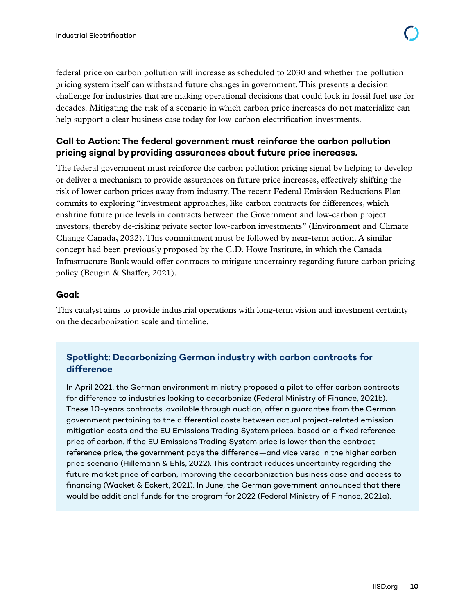<span id="page-13-0"></span>federal price on carbon pollution will increase as scheduled to 2030 and whether the pollution pricing system itself can withstand future changes in government. This presents a decision challenge for industries that are making operational decisions that could lock in fossil fuel use for decades. Mitigating the risk of a scenario in which carbon price increases do not materialize can help support a clear business case today for low-carbon electrification investments.

#### **Call to Action: The federal government must reinforce the carbon pollution pricing signal by providing assurances about future price increases.**

The federal government must reinforce the carbon pollution pricing signal by helping to develop or deliver a mechanism to provide assurances on future price increases, effectively shifting the risk of lower carbon prices away from industry. The recent Federal Emission Reductions Plan commits to exploring "investment approaches, like carbon contracts for differences, which enshrine future price levels in contracts between the Government and low-carbon project investors, thereby de-risking private sector low-carbon investments" (Environment and Climate Change Canada, 2022). This commitment must be followed by near-term action. A similar concept had been previously proposed by the C.D. Howe Institute, in which the Canada Infrastructure Bank would offer contracts to mitigate uncertainty regarding future carbon pricing policy (Beugin & Shaffer, 2021).

#### **Goal:**

This catalyst aims to provide industrial operations with long-term vision and investment certainty on the decarbonization scale and timeline.

#### **Spotlight: Decarbonizing German industry with carbon contracts for difference**

In April 2021, the German environment ministry proposed a pilot to offer carbon contracts for difference to industries looking to decarbonize (Federal Ministry of Finance, 2021b). These 10-years contracts, available through auction, offer a guarantee from the German government pertaining to the differential costs between actual project-related emission mitigation costs and the EU Emissions Trading System prices, based on a fixed reference price of carbon. If the EU Emissions Trading System price is lower than the contract reference price, the government pays the difference—and vice versa in the higher carbon price scenario (Hillemann & Ehls, 2022). This contract reduces uncertainty regarding the future market price of carbon, improving the decarbonization business case and access to financing (Wacket & Eckert, 2021). In June, the German government announced that there would be additional funds for the program for 2022 (Federal Ministry of Finance, 2021a).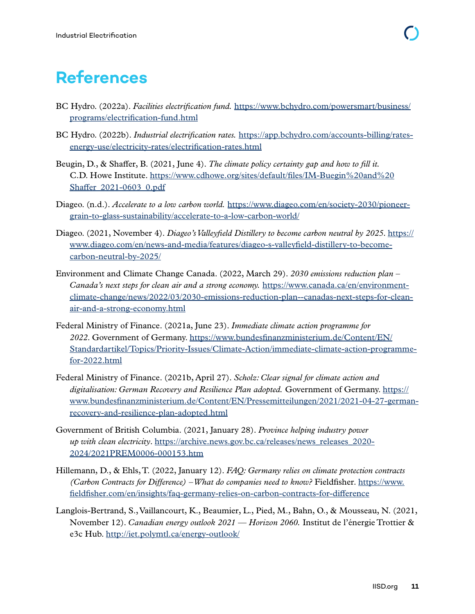## <span id="page-14-0"></span>**References**

- BC Hydro. (2022a). *Facilities electrification fund.* [https://www.bchydro.com/powersmart/business/](https://www.bchydro.com/powersmart/business/programs/electrification-fund.html) [programs/electrification-fund.html](https://www.bchydro.com/powersmart/business/programs/electrification-fund.html)
- BC Hydro. (2022b). *Industrial electrification rates.* [https://app.bchydro.com/accounts-billing/rates](https://app.bchydro.com/accounts-billing/rates-energy-use/electricity-rates/electrification-rates.html)[energy-use/electricity-rates/electrification-rates.html](https://app.bchydro.com/accounts-billing/rates-energy-use/electricity-rates/electrification-rates.html)
- Beugin, D., & Shaffer, B. (2021, June 4). *The climate policy certainty gap and how to fill it.*  C.D. Howe Institute. [https://www.cdhowe.org/sites/default/files/IM-Buegin%20and%20](https://www.cdhowe.org/sites/default/files/IM-Buegin%20and%20Shaffer_2021-0603_0.pdf) Shaffer 2021-0603 0.pdf
- Diageo. (n.d.). *Accelerate to a low carbon world.* [https://www.diageo.com/en/society-2030/pioneer](https://www.diageo.com/en/society-2030/pioneer-grain-to-glass-sustainability/accelerate-to-a-low-carbon-world/)[grain-to-glass-sustainability/accelerate-to-a-low-carbon-world/](https://www.diageo.com/en/society-2030/pioneer-grain-to-glass-sustainability/accelerate-to-a-low-carbon-world/)
- Diageo. (2021, November 4). *Diageo's Valleyfield Distillery to become carbon neutral by 2025*. [https://](https://www.diageo.com/en/news-and-media/features/diageo-s-valleyfield-distillery-to-become-carbon-neutral-by-2025/) [www.diageo.com/en/news-and-media/features/diageo-s-valleyfield-distillery-to-become](https://www.diageo.com/en/news-and-media/features/diageo-s-valleyfield-distillery-to-become-carbon-neutral-by-2025/)[carbon-neutral-by-2025/](https://www.diageo.com/en/news-and-media/features/diageo-s-valleyfield-distillery-to-become-carbon-neutral-by-2025/)
- Environment and Climate Change Canada. (2022, March 29). *2030 emissions reduction plan Canada's next steps for clean air and a strong economy.* [https://www.canada.ca/en/environment](https://www.canada.ca/en/environment-climate-change/news/2022/03/2030-emissions-reduction-plan--canadas-next-steps-for-clean-air-and-a-strong-economy.html)[climate-change/news/2022/03/2030-emissions-reduction-plan--canadas-next-steps-for-clean](https://www.canada.ca/en/environment-climate-change/news/2022/03/2030-emissions-reduction-plan--canadas-next-steps-for-clean-air-and-a-strong-economy.html)[air-and-a-strong-economy.html](https://www.canada.ca/en/environment-climate-change/news/2022/03/2030-emissions-reduction-plan--canadas-next-steps-for-clean-air-and-a-strong-economy.html)
- Federal Ministry of Finance. (2021a, June 23). *Immediate climate action programme for 2022*. Government of Germany. [https://www.bundesfinanzministerium.de/Content/EN/](https://www.bundesfinanzministerium.de/Content/EN/Standardartikel/Topics/Priority-Issues/Climate-Action/immediate-climate-action-programme-for-2022.html) [Standardartikel/Topics/Priority-Issues/Climate-Action/immediate-climate-action-programme](https://www.bundesfinanzministerium.de/Content/EN/Standardartikel/Topics/Priority-Issues/Climate-Action/immediate-climate-action-programme-for-2022.html)[for-2022.html](https://www.bundesfinanzministerium.de/Content/EN/Standardartikel/Topics/Priority-Issues/Climate-Action/immediate-climate-action-programme-for-2022.html)
- Federal Ministry of Finance. (2021b, April 27). *Scholz: Clear signal for climate action and digitalisation: German Recovery and Resilience Plan adopted.* Government of Germany. [https://](https://www.bundesfinanzministerium.de/Content/EN/Pressemitteilungen/2021/2021-04-27-german-recovery-and-resilience-plan-adopted.html) [www.bundesfinanzministerium.de/Content/EN/Pressemitteilungen/2021/2021-04-27-german](https://www.bundesfinanzministerium.de/Content/EN/Pressemitteilungen/2021/2021-04-27-german-recovery-and-resilience-plan-adopted.html)[recovery-and-resilience-plan-adopted.html](https://www.bundesfinanzministerium.de/Content/EN/Pressemitteilungen/2021/2021-04-27-german-recovery-and-resilience-plan-adopted.html)
- Government of British Columbia. (2021, January 28). *Province helping industry power up with clean electricity*. [https://archive.news.gov.bc.ca/releases/news\\_releases\\_2020-](https://archive.news.gov.bc.ca/releases/news_releases_2020-2024/2021PREM0006-000153.htm) [2024/2021PREM0006-000153.htm](https://archive.news.gov.bc.ca/releases/news_releases_2020-2024/2021PREM0006-000153.htm)
- Hillemann, D., & Ehls, T. (2022, January 12). *FAQ: Germany relies on climate protection contracts (Carbon Contracts for Difference) – What do companies need to know?* Fieldfisher. [https://www.](https://www.fieldfisher.com/en/insights/faq-germany-relies-on-carbon-contracts-for-difference) [fieldfisher.com/en/insights/faq-germany-relies-on-carbon-contracts-for-difference](https://www.fieldfisher.com/en/insights/faq-germany-relies-on-carbon-contracts-for-difference)
- Langlois-Bertrand, S., Vaillancourt, K., Beaumier, L., Pied, M., Bahn, O., & Mousseau, N. (2021, November 12). *Canadian energy outlook 2021 — Horizon 2060.* Institut de l'énergie Trottier & e3c Hub. <http://iet.polymtl.ca/energy-outlook/>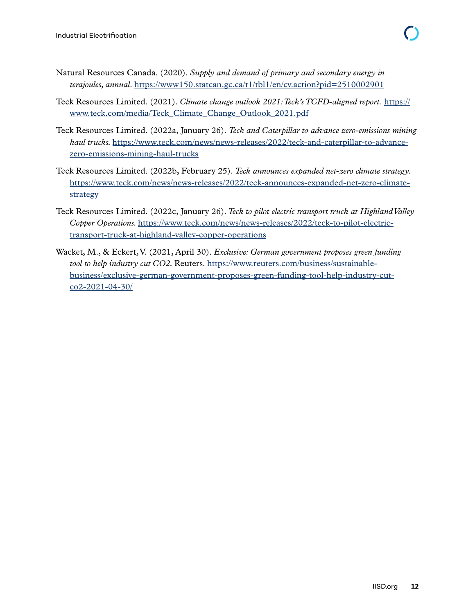- Natural Resources Canada. (2020). *Supply and demand of primary and secondary energy in terajoules, annual*.<https://www150.statcan.gc.ca/t1/tbl1/en/cv.action?pid=2510002901>
- Teck Resources Limited. (2021). *Climate change outlook 2021: Teck's TCFD-aligned report.* [https://](https://www.teck.com/media/Teck_Climate_Change_Outlook_2021.pdf) [www.teck.com/media/Teck\\_Climate\\_Change\\_Outlook\\_2021.pdf](https://www.teck.com/media/Teck_Climate_Change_Outlook_2021.pdf)
- Teck Resources Limited. (2022a, January 26). *Teck and Caterpillar to advance zero-emissions mining haul trucks.* [https://www.teck.com/news/news-releases/2022/teck-and-caterpillar-to-advance](https://www.teck.com/news/news-releases/2022/teck-and-caterpillar-to-advance-zero-emissions-mining-haul-trucks)[zero-emissions-mining-haul-trucks](https://www.teck.com/news/news-releases/2022/teck-and-caterpillar-to-advance-zero-emissions-mining-haul-trucks)
- Teck Resources Limited. (2022b, February 25). *Teck announces expanded net-zero climate strategy.* [https://www.teck.com/news/news-releases/2022/teck-announces-expanded-net-zero-climate](https://www.teck.com/news/news-releases/2022/teck-announces-expanded-net-zero-climate-strategy)[strategy](https://www.teck.com/news/news-releases/2022/teck-announces-expanded-net-zero-climate-strategy)
- Teck Resources Limited. (2022c, January 26). *Teck to pilot electric transport truck at Highland Valley Copper Operations.* [https://www.teck.com/news/news-releases/2022/teck-to-pilot-electric](https://www.teck.com/news/news-releases/2022/teck-to-pilot-electric-transport-truck-at-highland-valley-copper-operations)[transport-truck-at-highland-valley-copper-operations](https://www.teck.com/news/news-releases/2022/teck-to-pilot-electric-transport-truck-at-highland-valley-copper-operations)
- Wacket, M., & Eckert, V. (2021, April 30). *Exclusive: German government proposes green funding tool to help industry cut CO2.* Reuters. [https://www.reuters.com/business/sustainable](https://www.reuters.com/business/sustainable-business/exclusive-german-government-proposes-green-funding-tool-help-industry-cut-co2-2021-04-30/)[business/exclusive-german-government-proposes-green-funding-tool-help-industry-cut](https://www.reuters.com/business/sustainable-business/exclusive-german-government-proposes-green-funding-tool-help-industry-cut-co2-2021-04-30/)[co2-2021-04-30/](https://www.reuters.com/business/sustainable-business/exclusive-german-government-proposes-green-funding-tool-help-industry-cut-co2-2021-04-30/)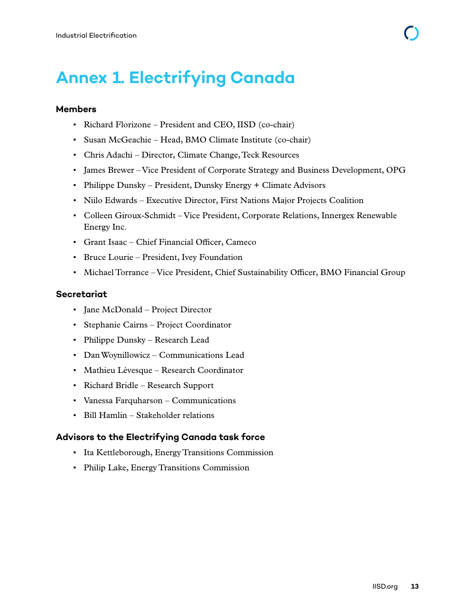## <span id="page-16-0"></span>**Annex 1. Electrifying Canada**

#### **Members**

- Richard Florizone President and CEO, IISD (co-chair)
- Susan McGeachie Head, BMO Climate Institute (co-chair)
- Chris Adachi Director, Climate Change, Teck Resources
- James Brewer Vice President of Corporate Strategy and Business Development, OPG
- Philippe Dunsky President, Dunsky Energy + Climate Advisors
- Niilo Edwards Executive Director, First Nations Major Projects Coalition
- Colleen Giroux-Schmidt Vice President, Corporate Relations, Innergex Renewable Energy Inc.
- Grant Isaac Chief Financial Officer, Cameco
- Bruce Lourie President, Ivey Foundation
- Michael Torrance Vice President, Chief Sustainability Officer, BMO Financial Group

#### **Secretariat**

- Jane McDonald Project Director
- Stephanie Cairns Project Coordinator
- Philippe Dunsky Research Lead
- Dan Woynillowicz Communications Lead
- Mathieu Lévesque Research Coordinator
- Richard Bridle Research Support
- Vanessa Farquharson Communications
- Bill Hamlin Stakeholder relations

#### **Advisors to the Electrifying Canada task force**

- Ita Kettleborough, Energy Transitions Commission
- Philip Lake, Energy Transitions Commission